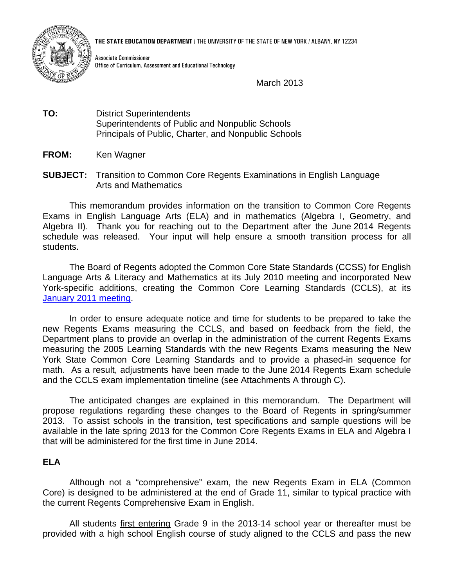

Associate Commissioner Office of Curriculum, Assessment and Educational Technology

March 2013

- **TO:** District Superintendents Superintendents of Public and Nonpublic Schools Principals of Public, Charter, and Nonpublic Schools
- **FROM:** Ken Wagner
- **SUBJECT:** Transition to Common Core Regents Examinations in English Language Arts and Mathematics

This memorandum provides information on the transition to Common Core Regents Exams in English Language Arts (ELA) and in mathematics (Algebra I, Geometry, and Algebra II). Thank you for reaching out to the Department after the June 2014 Regents schedule was released. Your input will help ensure a smooth transition process for all students.

The Board of Regents adopted the Common Core State Standards (CCSS) for English Language Arts & Literacy and Mathematics at its July 2010 meeting and incorporated New York-specific additions, creating the Common Core Learning Standards (CCLS), at its January 2011 meeting.

In order to ensure adequate notice and time for students to be prepared to take the new Regents Exams measuring the CCLS, and based on feedback from the field, the Department plans to provide an overlap in the administration of the current Regents Exams measuring the 2005 Learning Standards with the new Regents Exams measuring the New York State Common Core Learning Standards and to provide a phased-in sequence for math. As a result, adjustments have been made to the June 2014 Regents Exam schedule and the CCLS exam implementation timeline (see Attachments A through C).

The anticipated changes are explained in this memorandum. The Department will propose regulations regarding these changes to the Board of Regents in spring/summer 2013. To assist schools in the transition, test specifications and sample questions will be available in the late spring 2013 for the Common Core Regents Exams in ELA and Algebra I that will be administered for the first time in June 2014.

## **ELA**

Although not a "comprehensive" exam, the new Regents Exam in ELA (Common Core) is designed to be administered at the end of Grade 11, similar to typical practice with the current Regents Comprehensive Exam in English.

All students first entering Grade 9 in the 2013-14 school year or thereafter must be provided with a high school English course of study aligned to the CCLS and pass the new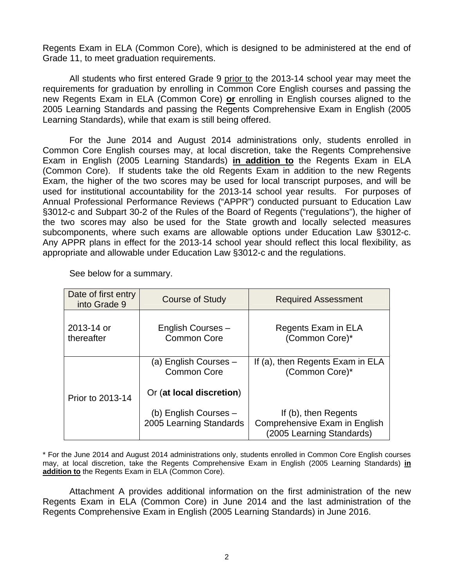Regents Exam in ELA (Common Core), which is designed to be administered at the end of Grade 11, to meet graduation requirements.

All students who first entered Grade 9 prior to the 2013-14 school year may meet the requirements for graduation by enrolling in Common Core English courses and passing the new Regents Exam in ELA (Common Core) **or** enrolling in English courses aligned to the 2005 Learning Standards and passing the Regents Comprehensive Exam in English (2005 Learning Standards), while that exam is still being offered.

For the June 2014 and August 2014 administrations only, students enrolled in Common Core English courses may, at local discretion, take the Regents Comprehensive Exam in English (2005 Learning Standards) **in addition to** the Regents Exam in ELA (Common Core). If students take the old Regents Exam in addition to the new Regents Exam, the higher of the two scores may be used for local transcript purposes, and will be used for institutional accountability for the 2013-14 school year results. For purposes of Annual Professional Performance Reviews ("APPR") conducted pursuant to Education Law §3012-c and Subpart 30-2 of the Rules of the Board of Regents ("regulations"), the higher of the two scores may also be used for the State growth and locally selected measures subcomponents, where such exams are allowable options under Education Law §3012-c. Any APPR plans in effect for the 2013-14 school year should reflect this local flexibility, as appropriate and allowable under Education Law §3012-c and the regulations.

| Date of first entry<br>into Grade 9 | Course of Study                                  | <b>Required Assessment</b>                                                         |  |  |  |
|-------------------------------------|--------------------------------------------------|------------------------------------------------------------------------------------|--|--|--|
| 2013-14 or<br>thereafter            | English Courses -<br><b>Common Core</b>          | Regents Exam in ELA<br>(Common Core)*                                              |  |  |  |
|                                     | (a) English Courses -<br><b>Common Core</b>      | If (a), then Regents Exam in ELA<br>(Common Core)*                                 |  |  |  |
| Prior to 2013-14                    | Or (at local discretion)                         |                                                                                    |  |  |  |
|                                     | (b) English Courses -<br>2005 Learning Standards | If (b), then Regents<br>Comprehensive Exam in English<br>(2005 Learning Standards) |  |  |  |

See below for a summary.

\* For the June 2014 and August 2014 administrations only, students enrolled in Common Core English courses may, at local discretion, take the Regents Comprehensive Exam in English (2005 Learning Standards) **in addition to** the Regents Exam in ELA (Common Core).

Attachment A provides additional information on the first administration of the new Regents Exam in ELA (Common Core) in June 2014 and the last administration of the Regents Comprehensive Exam in English (2005 Learning Standards) in June 2016.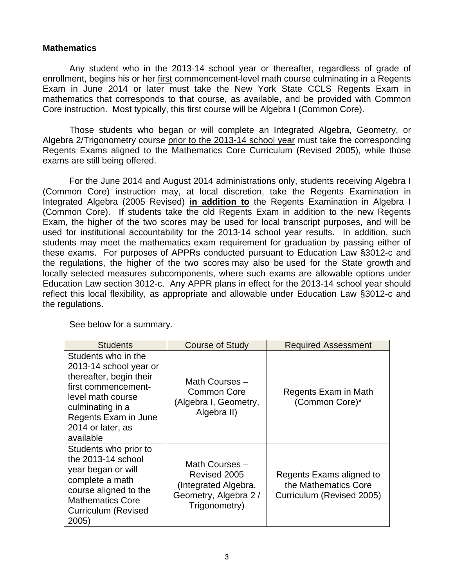## **Mathematics**

Any student who in the 2013-14 school year or thereafter, regardless of grade of enrollment, begins his or her first commencement-level math course culminating in a Regents Exam in June 2014 or later must take the New York State CCLS Regents Exam in mathematics that corresponds to that course, as available, and be provided with Common Core instruction. Most typically, this first course will be Algebra I (Common Core).

Those students who began or will complete an Integrated Algebra, Geometry, or Algebra 2/Trigonometry course prior to the 2013-14 school year must take the corresponding Regents Exams aligned to the Mathematics Core Curriculum (Revised 2005), while those exams are still being offered.

For the June 2014 and August 2014 administrations only, students receiving Algebra I (Common Core) instruction may, at local discretion, take the Regents Examination in Integrated Algebra (2005 Revised) **in addition to** the Regents Examination in Algebra I (Common Core). If students take the old Regents Exam in addition to the new Regents Exam, the higher of the two scores may be used for local transcript purposes, and will be used for institutional accountability for the 2013-14 school year results. In addition, such students may meet the mathematics exam requirement for graduation by passing either of these exams. For purposes of APPRs conducted pursuant to Education Law §3012-c and the regulations, the higher of the two scores may also be used for the State growth and locally selected measures subcomponents, where such exams are allowable options under Education Law section 3012-c. Any APPR plans in effect for the 2013-14 school year should reflect this local flexibility, as appropriate and allowable under Education Law §3012-c and the regulations.

| <b>Students</b>                                                                                                                                                                                    | Course of Study                                                                                  | <b>Required Assessment</b>                                                    |
|----------------------------------------------------------------------------------------------------------------------------------------------------------------------------------------------------|--------------------------------------------------------------------------------------------------|-------------------------------------------------------------------------------|
| Students who in the<br>2013-14 school year or<br>thereafter, begin their<br>first commencement-<br>level math course<br>culminating in a<br>Regents Exam in June<br>2014 or later, as<br>available | Math Courses -<br>Common Core<br>(Algebra I, Geometry,<br>Algebra II)                            | Regents Exam in Math<br>(Common Core)*                                        |
| Students who prior to<br>the 2013-14 school<br>year began or will<br>complete a math<br>course aligned to the<br><b>Mathematics Core</b><br>Curriculum (Revised<br>2005)                           | Math Courses -<br>Revised 2005<br>(Integrated Algebra,<br>Geometry, Algebra 2 /<br>Trigonometry) | Regents Exams aligned to<br>the Mathematics Core<br>Curriculum (Revised 2005) |

See below for a summary.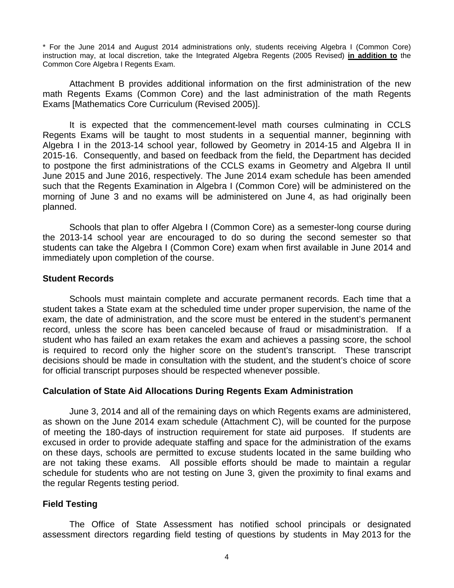\* For the June 2014 and August 2014 administrations only, students receiving Algebra I (Common Core) instruction may, at local discretion, take the Integrated Algebra Regents (2005 Revised) **in addition to** the Common Core Algebra I Regents Exam.

Attachment B provides additional information on the first administration of the new math Regents Exams (Common Core) and the last administration of the math Regents Exams [Mathematics Core Curriculum (Revised 2005)].

It is expected that the commencement-level math courses culminating in CCLS Regents Exams will be taught to most students in a sequential manner, beginning with Algebra I in the 2013-14 school year, followed by Geometry in 2014-15 and Algebra II in 2015-16. Consequently, and based on feedback from the field, the Department has decided to postpone the first administrations of the CCLS exams in Geometry and Algebra II until June 2015 and June 2016, respectively. The June 2014 exam schedule has been amended such that the Regents Examination in Algebra I (Common Core) will be administered on the morning of June 3 and no exams will be administered on June 4, as had originally been planned.

Schools that plan to offer Algebra I (Common Core) as a semester-long course during the 2013-14 school year are encouraged to do so during the second semester so that students can take the Algebra I (Common Core) exam when first available in June 2014 and immediately upon completion of the course.

## **Student Records**

Schools must maintain complete and accurate permanent records. Each time that a student takes a State exam at the scheduled time under proper supervision, the name of the exam, the date of administration, and the score must be entered in the student's permanent record, unless the score has been canceled because of fraud or misadministration. If a student who has failed an exam retakes the exam and achieves a passing score, the school is required to record only the higher score on the student's transcript. These transcript decisions should be made in consultation with the student, and the student's choice of score for official transcript purposes should be respected whenever possible.

## **Calculation of State Aid Allocations During Regents Exam Administration**

June 3, 2014 and all of the remaining days on which Regents exams are administered, as shown on the June 2014 exam schedule (Attachment C), will be counted for the purpose of meeting the 180-days of instruction requirement for state aid purposes. If students are excused in order to provide adequate staffing and space for the administration of the exams on these days, schools are permitted to excuse students located in the same building who are not taking these exams. All possible efforts should be made to maintain a regular schedule for students who are not testing on June 3, given the proximity to final exams and the regular Regents testing period.

## **Field Testing**

The Office of State Assessment has notified school principals or designated assessment directors regarding field testing of questions by students in May 2013 for the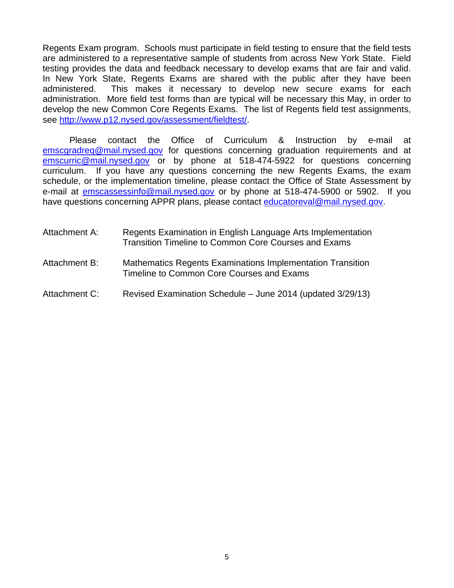Regents Exam program. Schools must participate in field testing to ensure that the field tests are administered to a representative sample of students from across New York State. Field testing provides the data and feedback necessary to develop exams that are fair and valid. In New York State, Regents Exams are shared with the public after they have been administered. This makes it necessary to develop new secure exams for each administration. More field test forms than are typical will be necessary this May, in order to develop the new Common Core Regents Exams. The list of Regents field test assignments, see http://www.p12.nysed.gov/assessment/fieldtest/.

Please contact the Office of Curriculum & Instruction by e-mail at emscgradreq@mail.nysed.gov for questions concerning graduation requirements and at emscurric@mail.nysed.gov or by phone at 518-474-5922 for questions concerning curriculum. If you have any questions concerning the new Regents Exams, the exam schedule, or the implementation timeline, please contact the Office of State Assessment by e-mail at **emscassessinfo@mail.nysed.gov** or by phone at 518-474-5900 or 5902. If you have questions concerning APPR plans, please contact educatoreval@mail.nysed.gov.

| Attachment A: | Regents Examination in English Language Arts Implementation<br>Transition Timeline to Common Core Courses and Exams |
|---------------|---------------------------------------------------------------------------------------------------------------------|
| Attachment B: | <b>Mathematics Regents Examinations Implementation Transition</b><br>Timeline to Common Core Courses and Exams      |
| Attachment C: | Revised Examination Schedule - June 2014 (updated 3/29/13)                                                          |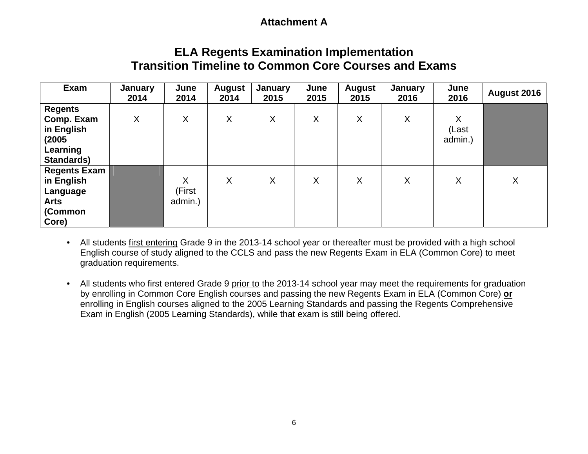## **Attachment A**

# **ELA Regents Examination Implementation Transition Timeline to Common Core Courses and Exams**

| Exam                                                                             | January<br>2014 | June<br>2014           | <b>August</b><br>2014 | January<br>2015 | June<br>2015 | <b>August</b><br>2015 | <b>January</b><br>2016 | June<br>2016                | August 2016 |
|----------------------------------------------------------------------------------|-----------------|------------------------|-----------------------|-----------------|--------------|-----------------------|------------------------|-----------------------------|-------------|
| <b>Regents</b><br>Comp. Exam<br>in English<br>(2005<br>Learning<br>Standards)    | X               | X                      | X                     | X               | X            | X                     | X                      | $\sf X$<br>(Last<br>admin.) |             |
| <b>Regents Exam</b><br>in English<br>Language<br><b>Arts</b><br>(Common<br>Core) |                 | X<br>(First<br>admin.) | X                     | X               | X            | X                     | X                      | X                           | X           |

• All students first entering Grade 9 in the 2013-14 school year or thereafter must be provided with a high school English course of study aligned to the CCLS and pass the new Regents Exam in ELA (Common Core) to meet graduation requirements.

• All students who first entered Grade 9 prior to the 2013-14 school year may meet the requirements for graduation by enrolling in Common Core English courses and passing the new Regents Exam in ELA (Common Core) **or** enrolling in English courses aligned to the 2005 Learning Standards and passing the Regents Comprehensive Exam in English (2005 Learning Standards), while that exam is still being offered.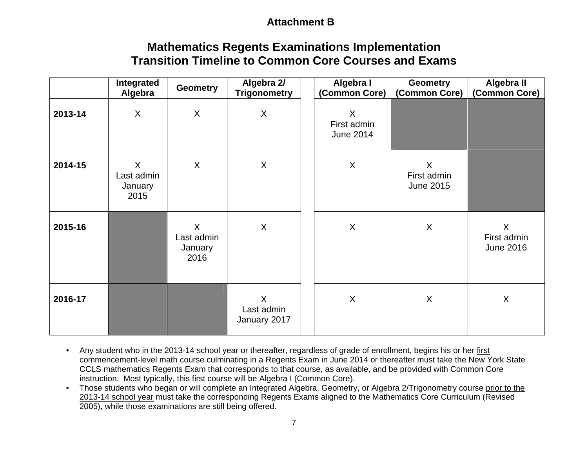## **Attachment B**

# **Mathematics Regents Examinations Implementation Transition Timeline to Common Core Courses and Exams**

|         | Integrated<br>Algebra              | <b>Geometry</b>                    | Algebra 2/<br><b>Trigonometry</b>     | Algebra I<br>(Common Core)                 | <b>Geometry</b><br>(Common Core)           | Algebra II<br>(Common Core)                |
|---------|------------------------------------|------------------------------------|---------------------------------------|--------------------------------------------|--------------------------------------------|--------------------------------------------|
| 2013-14 | X                                  | $\sf X$                            | $\boldsymbol{\mathsf{X}}$             | $\sf X$<br>First admin<br><b>June 2014</b> |                                            |                                            |
| 2014-15 | X<br>Last admin<br>January<br>2015 | X                                  | X                                     | $\sf X$                                    | $\sf X$<br>First admin<br><b>June 2015</b> |                                            |
| 2015-16 |                                    | X<br>Last admin<br>January<br>2016 | X                                     | X                                          | $\sf X$                                    | $\sf X$<br>First admin<br><b>June 2016</b> |
| 2016-17 |                                    |                                    | $\sf X$<br>Last admin<br>January 2017 | X                                          | X                                          | X                                          |

- Any student who in the 2013-14 school year or thereafter, regardless of grade of enrollment, begins his or her first commencement-level math course culminating in a Regents Exam in June 2014 or thereafter must take the New York State CCLS mathematics Regents Exam that corresponds to that course, as available, and be provided with Common Core instruction. Most typically, this first course will be Algebra I (Common Core).
- Those students who began or will complete an Integrated Algebra, Geometry, or Algebra 2/Trigonometry course prior to the 2013-14 school year must take the corresponding Regents Exams aligned to the Mathematics Core Curriculum (Revised 2005), while those examinations are still being offered.